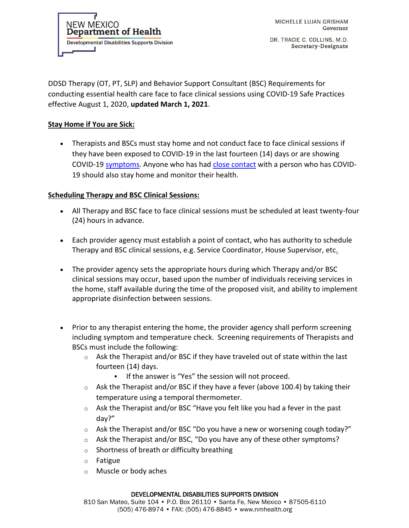**NEW MEXICO Department of Health Developmental Disabilities Supports Division** 

DR. TRACIE C. COLLINS, M.D. Secretary-Designate

DDSD Therapy (OT, PT, SLP) and Behavior Support Consultant (BSC) Requirements for conducting essential health care face to face clinical sessions using COVID-19 Safe Practices effective August 1, 2020, **updated March 1, 2021**.

## **Stay Home if You are Sick:**

• Therapists and BSCs must stay home and not conduct face to face clinical sessions if they have been exposed to COVID-19 in the last fourteen (14) days or are showing COVID-19 [symptoms.](https://www.cdc.gov/coronavirus/2019-ncov/symptoms-testing/symptoms.html) Anyone who has had [close contact](https://www.cdc.gov/coronavirus/2019-ncov/php/public-health-recommendations.html) with a person who has COVID-19 should also stay home and monitor their health.

## **Scheduling Therapy and BSC Clinical Sessions:**

- All Therapy and BSC face to face clinical sessions must be scheduled at least twenty-four (24) hours in advance.
- Each provider agency must establish a point of contact, who has authority to schedule Therapy and BSC clinical sessions, e.g. Service Coordinator, House Supervisor, etc.
- The provider agency sets the appropriate hours during which Therapy and/or BSC clinical sessions may occur, based upon the number of individuals receiving services in the home, staff available during the time of the proposed visit, and ability to implement appropriate disinfection between sessions.
- Prior to any therapist entering the home, the provider agency shall perform screening including symptom and temperature check. Screening requirements of Therapists and BSCs must include the following:
	- $\circ$  Ask the Therapist and/or BSC if they have traveled out of state within the last fourteen (14) days.
		- If the answer is "Yes" the session will not proceed.
	- $\circ$  Ask the Therapist and/or BSC if they have a fever (above 100.4) by taking their temperature using a temporal thermometer.
	- $\circ$  Ask the Therapist and/or BSC "Have you felt like you had a fever in the past day?"
	- o Ask the Therapist and/or BSC "Do you have a new or worsening cough today?"
	- o Ask the Therapist and/or BSC, "Do you have any of these other symptoms?
	- o Shortness of breath or difficulty breathing
	- o Fatigue
	- o Muscle or body aches